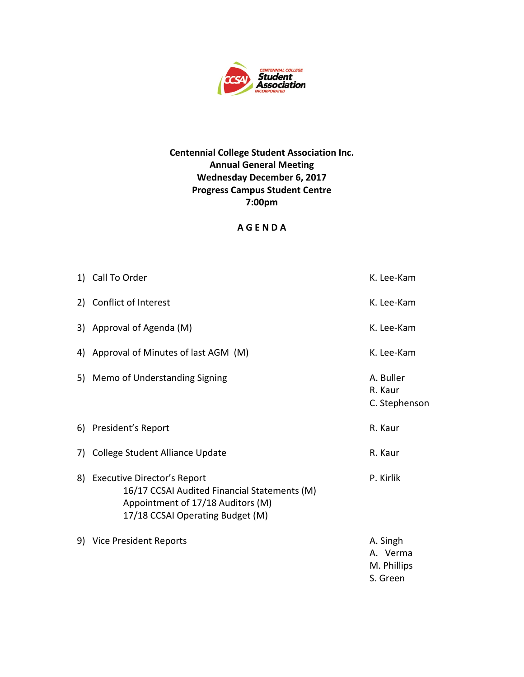

## **Centennial College Student Association Inc. Annual General Meeting Wednesday December 6, 2017 Progress Campus Student Centre 7:00pm**

## **A G E N D A**

| 1) Call To Order                                                                                                                                        | K. Lee-Kam                                      |
|---------------------------------------------------------------------------------------------------------------------------------------------------------|-------------------------------------------------|
| 2) Conflict of Interest                                                                                                                                 | K. Lee-Kam                                      |
| 3) Approval of Agenda (M)                                                                                                                               | K. Lee-Kam                                      |
| 4) Approval of Minutes of last AGM (M)                                                                                                                  | K. Lee-Kam                                      |
| 5) Memo of Understanding Signing                                                                                                                        | A. Buller<br>R. Kaur<br>C. Stephenson           |
| 6) President's Report                                                                                                                                   | R. Kaur                                         |
| 7) College Student Alliance Update                                                                                                                      | R. Kaur                                         |
| 8) Executive Director's Report<br>16/17 CCSAI Audited Financial Statements (M)<br>Appointment of 17/18 Auditors (M)<br>17/18 CCSAI Operating Budget (M) | P. Kirlik                                       |
| 9) Vice President Reports                                                                                                                               | A. Singh<br>A. Verma<br>M. Phillips<br>S. Green |